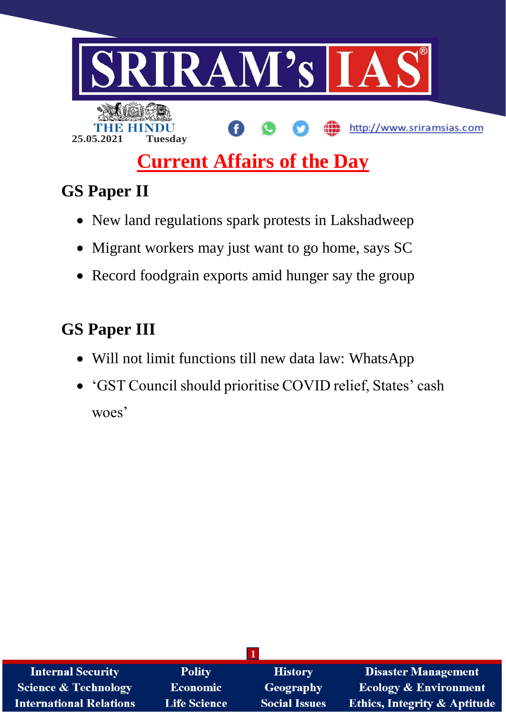

# **GS Paper II**

- New land regulations spark protests in Lakshadweep
- Migrant workers may just want to go home, says SC
- Record foodgrain exports amid hunger say the group

# **GS Paper III**

- Will not limit functions till new data law: WhatsApp
- 'GST Council should prioritise COVID relief, States' cash woes'

| <b>Internal Security</b>        | <b>Polity</b>       | <b>History</b>       | <b>Disaster Management</b>              |
|---------------------------------|---------------------|----------------------|-----------------------------------------|
| <b>Science &amp; Technology</b> | <b>Economic</b>     | <b>Geography</b>     | <b>Ecology &amp; Environment</b>        |
| <b>International Relations</b>  | <b>Life Science</b> | <b>Social Issues</b> | <b>Ethics, Integrity &amp; Aptitude</b> |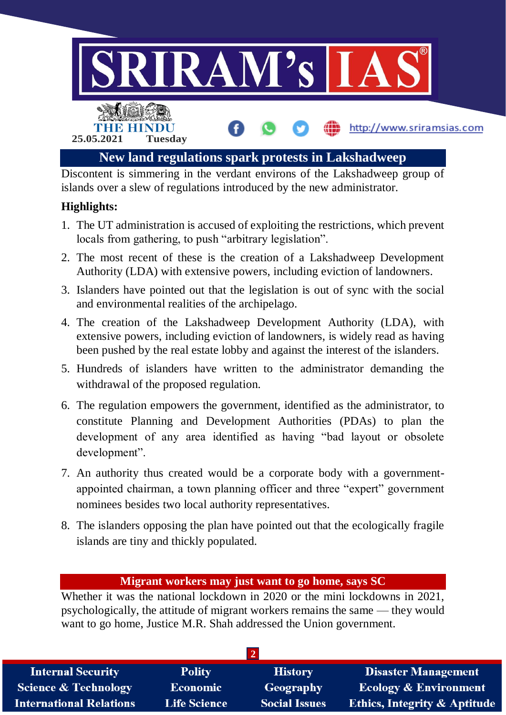

islands over a slew of regulations introduced by the new administrator.

# **Highlights:**

- 1. The UT administration is accused of exploiting the restrictions, which prevent locals from gathering, to push "arbitrary legislation".
- 2. The most recent of these is the creation of a Lakshadweep Development Authority (LDA) with extensive powers, including eviction of landowners.
- 3. Islanders have pointed out that the legislation is out of sync with the social and environmental realities of the archipelago.
- 4. The creation of the Lakshadweep Development Authority (LDA), with extensive powers, including eviction of landowners, is widely read as having been pushed by the real estate lobby and against the interest of the islanders.
- 5. Hundreds of islanders have written to the administrator demanding the withdrawal of the proposed regulation.
- 6. The regulation empowers the government, identified as the administrator, to constitute Planning and Development Authorities (PDAs) to plan the development of any area identified as having "bad layout or obsolete development".
- 7. An authority thus created would be a corporate body with a governmentappointed chairman, a town planning officer and three "expert" government nominees besides two local authority representatives.
- 8. The islanders opposing the plan have pointed out that the ecologically fragile islands are tiny and thickly populated.

#### **Migrant workers may just want to go home, says SC**

Whether it was the national lockdown in 2020 or the mini lockdowns in 2021, psychologically, the attitude of migrant workers remains the same — they would want to go home, Justice M.R. Shah addressed the Union government.

| <b>Internal Security</b>        | <b>Polity</b>       | <b>History</b>       | <b>Disaster Management</b>              |
|---------------------------------|---------------------|----------------------|-----------------------------------------|
| <b>Science &amp; Technology</b> | <b>Economic</b>     | Geography            | <b>Ecology &amp; Environment</b>        |
| <b>International Relations</b>  | <b>Life Science</b> | <b>Social Issues</b> | <b>Ethics, Integrity &amp; Aptitude</b> |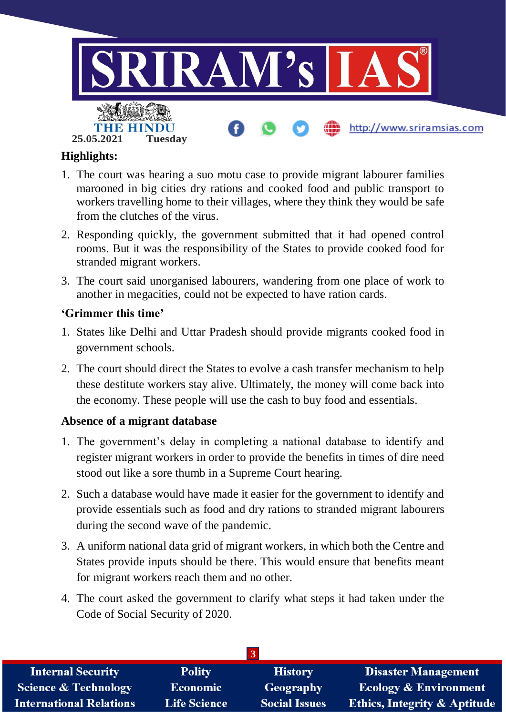

# **Highlights:**

- 1. The court was hearing a suo motu case to provide migrant labourer families marooned in big cities dry rations and cooked food and public transport to workers travelling home to their villages, where they think they would be safe from the clutches of the virus.
- 2. Responding quickly, the government submitted that it had opened control rooms. But it was the responsibility of the States to provide cooked food for stranded migrant workers.
- 3. The court said unorganised labourers, wandering from one place of work to another in megacities, could not be expected to have ration cards.

# **'Grimmer this time'**

- 1. States like Delhi and Uttar Pradesh should provide migrants cooked food in government schools.
- 2. The court should direct the States to evolve a cash transfer mechanism to help these destitute workers stay alive. Ultimately, the money will come back into the economy. These people will use the cash to buy food and essentials.

# **Absence of a migrant database**

- 1. The government's delay in completing a national database to identify and register migrant workers in order to provide the benefits in times of dire need stood out like a sore thumb in a Supreme Court hearing.
- 2. Such a database would have made it easier for the government to identify and provide essentials such as food and dry rations to stranded migrant labourers during the second wave of the pandemic.
- 3. A uniform national data grid of migrant workers, in which both the Centre and States provide inputs should be there. This would ensure that benefits meant for migrant workers reach them and no other.
- 4. The court asked the government to clarify what steps it had taken under the Code of Social Security of 2020.

| <b>Internal Security</b>        | <b>Polity</b>       | <b>History</b>       | <b>Disaster Management</b>              |
|---------------------------------|---------------------|----------------------|-----------------------------------------|
| <b>Science &amp; Technology</b> | <b>Economic</b>     | Geography            | <b>Ecology &amp; Environment</b>        |
| <b>International Relations</b>  | <b>Life Science</b> | <b>Social Issues</b> | <b>Ethics, Integrity &amp; Aptitude</b> |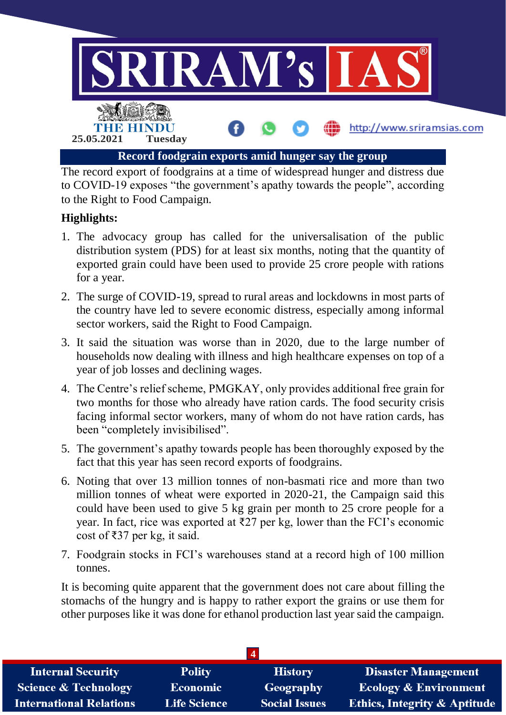

The record export of foodgrains at a time of widespread hunger and distress due to COVID-19 exposes "the government's apathy towards the people", according to the Right to Food Campaign.

# **Highlights:**

- 1. The advocacy group has called for the universalisation of the public distribution system (PDS) for at least six months, noting that the quantity of exported grain could have been used to provide 25 crore people with rations for a year.
- 2. The surge of COVID-19, spread to rural areas and lockdowns in most parts of the country have led to severe economic distress, especially among informal sector workers, said the Right to Food Campaign.
- 3. It said the situation was worse than in 2020, due to the large number of households now dealing with illness and high healthcare expenses on top of a year of job losses and declining wages.
- 4. The Centre's relief scheme, PMGKAY, only provides additional free grain for two months for those who already have ration cards. The food security crisis facing informal sector workers, many of whom do not have ration cards, has been "completely invisibilised".
- 5. The government's apathy towards people has been thoroughly exposed by the fact that this year has seen record exports of foodgrains.
- 6. Noting that over 13 million tonnes of non-basmati rice and more than two million tonnes of wheat were exported in 2020-21, the Campaign said this could have been used to give 5 kg grain per month to 25 crore people for a year. In fact, rice was exported at  $\overline{\xi}$  per kg, lower than the FCI's economic cost of ₹37 per kg, it said.
- 7. Foodgrain stocks in FCI's warehouses stand at a record high of 100 million tonnes.

It is becoming quite apparent that the government does not care about filling the stomachs of the hungry and is happy to rather export the grains or use them for other purposes like it was done for ethanol production last year said the campaign.

| <b>Internal Security</b>        | <b>Polity</b>       | <b>History</b>       | <b>Disaster Management</b>              |
|---------------------------------|---------------------|----------------------|-----------------------------------------|
| <b>Science &amp; Technology</b> | <b>Economic</b>     | Geography            | <b>Ecology &amp; Environment</b>        |
| <b>International Relations</b>  | <b>Life Science</b> | <b>Social Issues</b> | <b>Ethics, Integrity &amp; Aptitude</b> |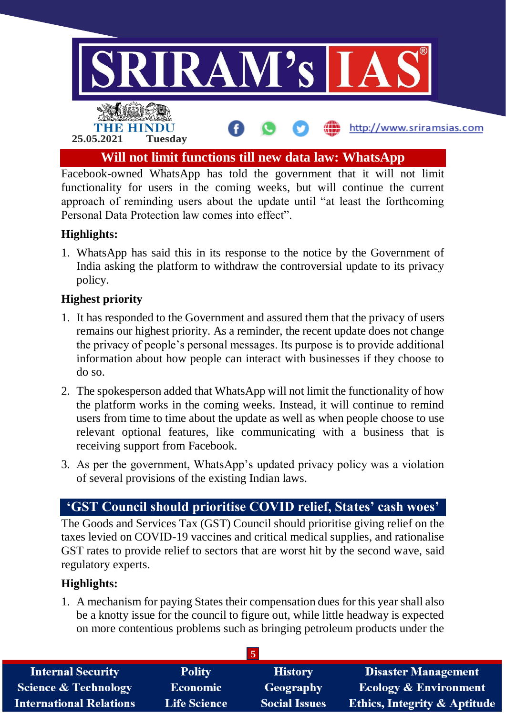

Facebook-owned WhatsApp has told the government that it will not limit functionality for users in the coming weeks, but will continue the current approach of reminding users about the update until "at least the forthcoming Personal Data Protection law comes into effect".

# **Highlights:**

1. WhatsApp has said this in its response to the notice by the Government of India asking the platform to withdraw the controversial update to its privacy policy.

#### **Highest priority**

- 1. It has responded to the Government and assured them that the privacy of users remains our highest priority. As a reminder, the recent update does not change the privacy of people's personal messages. Its purpose is to provide additional information about how people can interact with businesses if they choose to do so.
- 2. The spokesperson added that WhatsApp will not limit the functionality of how the platform works in the coming weeks. Instead, it will continue to remind users from time to time about the update as well as when people choose to use relevant optional features, like communicating with a business that is receiving support from Facebook.
- 3. As per the government, WhatsApp's updated privacy policy was a violation of several provisions of the existing Indian laws.

# **'GST Council should prioritise COVID relief, States' cash woes'**

The Goods and Services Tax (GST) Council should prioritise giving relief on the taxes levied on COVID-19 vaccines and critical medical supplies, and rationalise GST rates to provide relief to sectors that are worst hit by the second wave, said regulatory experts.

#### **Highlights:**

1. A mechanism for paying States their compensation dues for this year shall also be a knotty issue for the council to figure out, while little headway is expected on more contentious problems such as bringing petroleum products under the

| <b>Internal Security</b>        | <b>Polity</b>       | <b>History</b>       | <b>Disaster Management</b>              |
|---------------------------------|---------------------|----------------------|-----------------------------------------|
| <b>Science &amp; Technology</b> | <b>Economic</b>     | Geography            | <b>Ecology &amp; Environment</b>        |
| <b>International Relations</b>  | <b>Life Science</b> | <b>Social Issues</b> | <b>Ethics, Integrity &amp; Aptitude</b> |